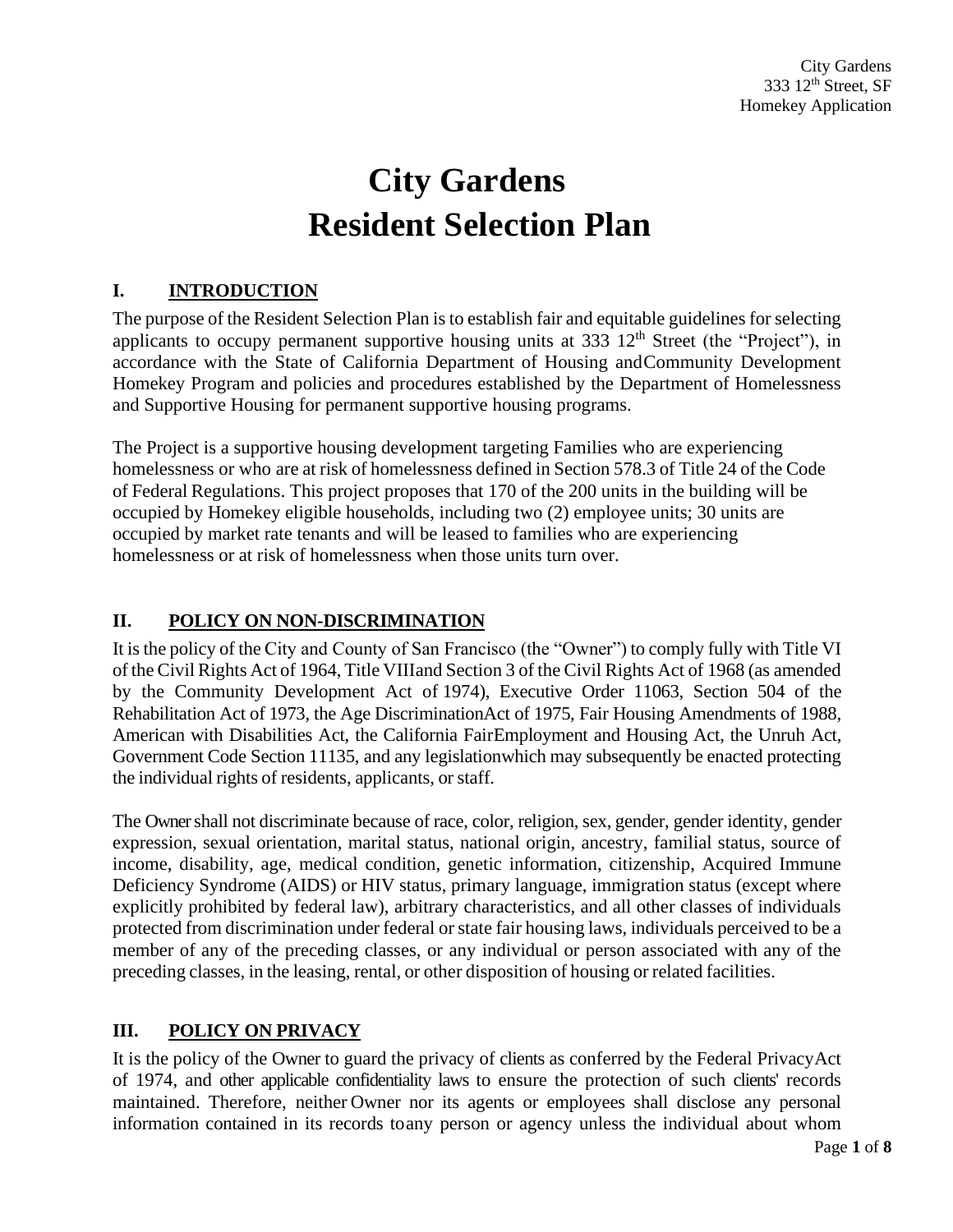# **City Gardens Resident Selection Plan**

# **I. INTRODUCTION**

The purpose of the Resident Selection Plan is to establish fair and equitable guidelines forselecting applicants to occupy permanent supportive housing units at  $333 \frac{12^{th}}{3}$  Street (the "Project"), in accordance with the State of California Department of Housing andCommunity Development Homekey Program and policies and procedures established by the Department of Homelessness and Supportive Housing for permanent supportive housing programs.

The Project is a supportive housing development targeting Families who are experiencing homelessness or who are at risk of homelessness defined in Section 578.3 of Title 24 of the Code of Federal Regulations. This project proposes that 170 of the 200 units in the building will be occupied by Homekey eligible households, including two (2) employee units; 30 units are occupied by market rate tenants and will be leased to families who are experiencing homelessness or at risk of homelessness when those units turn over.

# **II. POLICY ON NON-DISCRIMINATION**

It isthe policy of the City and County of San Francisco (the "Owner") to comply fully with Title VI of the Civil Rights Act of 1964, Title VIIIand Section 3 of the Civil Rights Act of 1968 (as amended by the Community Development Act of 1974), Executive Order 11063, Section 504 of the Rehabilitation Act of 1973, the Age DiscriminationAct of 1975, Fair Housing Amendments of 1988, American with Disabilities Act, the California FairEmployment and Housing Act, the Unruh Act, Government Code Section 11135, and any legislationwhich may subsequently be enacted protecting the individual rights of residents, applicants, or staff.

The Owner shall not discriminate because of race, color, religion, sex, gender, gender identity, gender expression, sexual orientation, marital status, national origin, ancestry, familial status, source of income, disability, age, medical condition, genetic information, citizenship, Acquired Immune Deficiency Syndrome (AIDS) or HIV status, primary language, immigration status (except where explicitly prohibited by federal law), arbitrary characteristics, and all other classes of individuals protected from discrimination under federal orstate fair housing laws, individuals perceived to be a member of any of the preceding classes, or any individual or person associated with any of the preceding classes, in the leasing, rental, or other disposition of housing or related facilities.

# **III. POLICY ON PRIVACY**

It is the policy of the Owner to guard the privacy of clients as conferred by the Federal PrivacyAct of 1974, and other applicable confidentiality laws to ensure the protection of such clients' records maintained. Therefore, neither Owner nor its agents or employees shall disclose any personal information contained in its records toany person or agency unless the individual about whom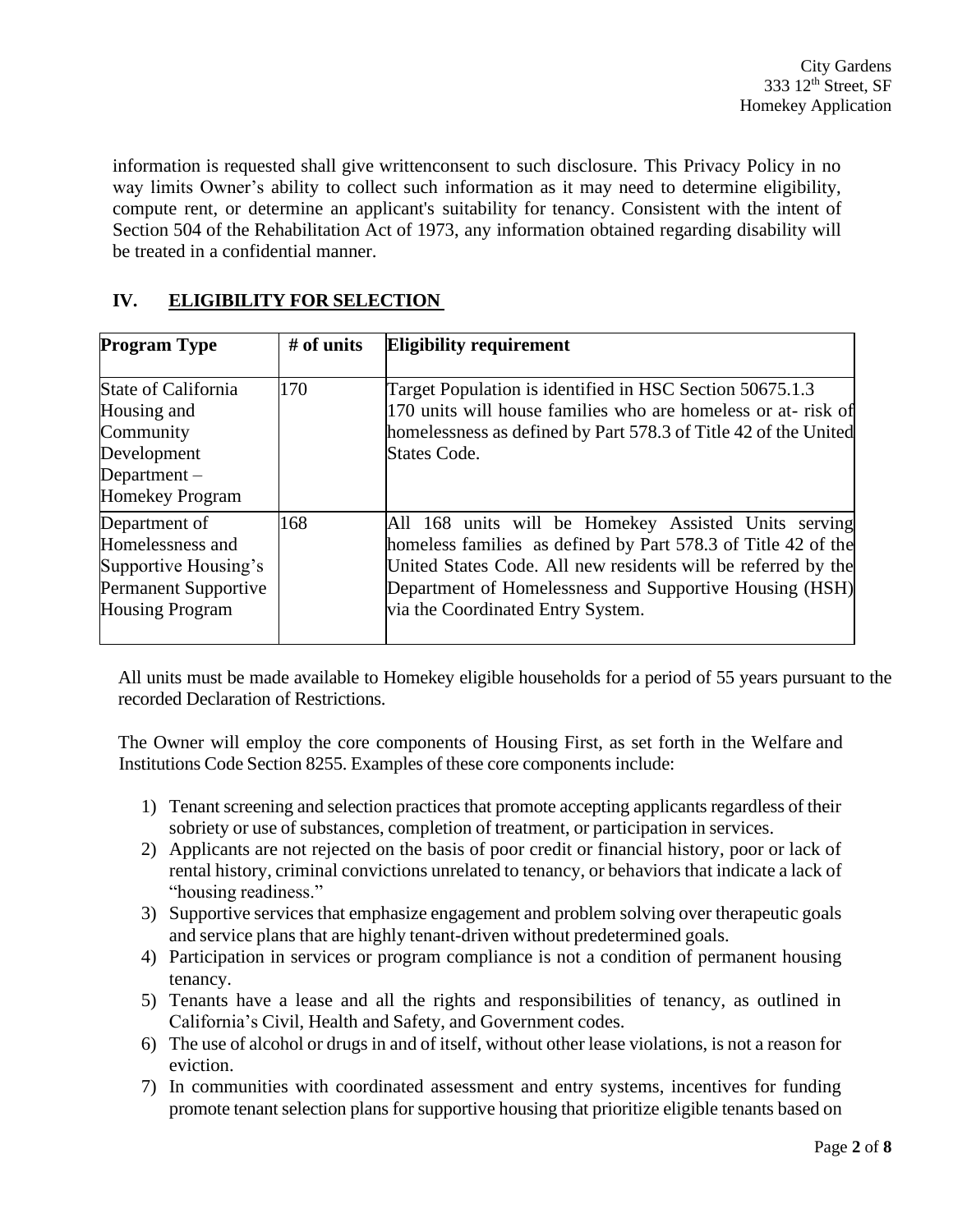information is requested shall give writtenconsent to such disclosure. This Privacy Policy in no way limits Owner's ability to collect such information as it may need to determine eligibility, compute rent, or determine an applicant's suitability for tenancy. Consistent with the intent of Section 504 of the Rehabilitation Act of 1973, any information obtained regarding disability will be treated in a confidential manner.

## **IV. ELIGIBILITY FOR SELECTION**

| <b>Program Type</b>                                                                                         | $#$ of units | <b>Eligibility requirement</b>                                                                                                                                                                                                                                                         |
|-------------------------------------------------------------------------------------------------------------|--------------|----------------------------------------------------------------------------------------------------------------------------------------------------------------------------------------------------------------------------------------------------------------------------------------|
| State of California<br>Housing and<br>Community<br>Development<br>Department $-$<br><b>Homekey Program</b>  | 170          | Target Population is identified in HSC Section 50675.1.3<br>170 units will house families who are homeless or at-risk of<br>homelessness as defined by Part 578.3 of Title 42 of the United<br>States Code.                                                                            |
| Department of<br>Homelessness and<br>Supportive Housing's<br>Permanent Supportive<br><b>Housing Program</b> | 168          | All 168 units will be Homekey Assisted Units serving<br>homeless families as defined by Part 578.3 of Title 42 of the<br>United States Code. All new residents will be referred by the<br>Department of Homelessness and Supportive Housing (HSH)<br>via the Coordinated Entry System. |

All units must be made available to Homekey eligible households for a period of 55 years pursuant to the recorded Declaration of Restrictions.

The Owner will employ the core components of Housing First, as set forth in the Welfare and Institutions Code Section 8255. Examples of these core components include:

- 1) Tenant screening and selection practices that promote accepting applicants regardless of their sobriety or use of substances, completion of treatment, or participation in services.
- 2) Applicants are not rejected on the basis of poor credit or financial history, poor or lack of rental history, criminal convictions unrelated to tenancy, or behaviors that indicate a lack of "housing readiness."
- 3) Supportive services that emphasize engagement and problem solving over therapeutic goals and service plans that are highly tenant-driven without predetermined goals.
- 4) Participation in services or program compliance is not a condition of permanent housing tenancy.
- 5) Tenants have a lease and all the rights and responsibilities of tenancy, as outlined in California's Civil, Health and Safety, and Government codes.
- 6) The use of alcohol or drugs in and of itself, without other lease violations, is not a reason for eviction.
- 7) In communities with coordinated assessment and entry systems, incentives for funding promote tenant selection plans for supportive housing that prioritize eligible tenants based on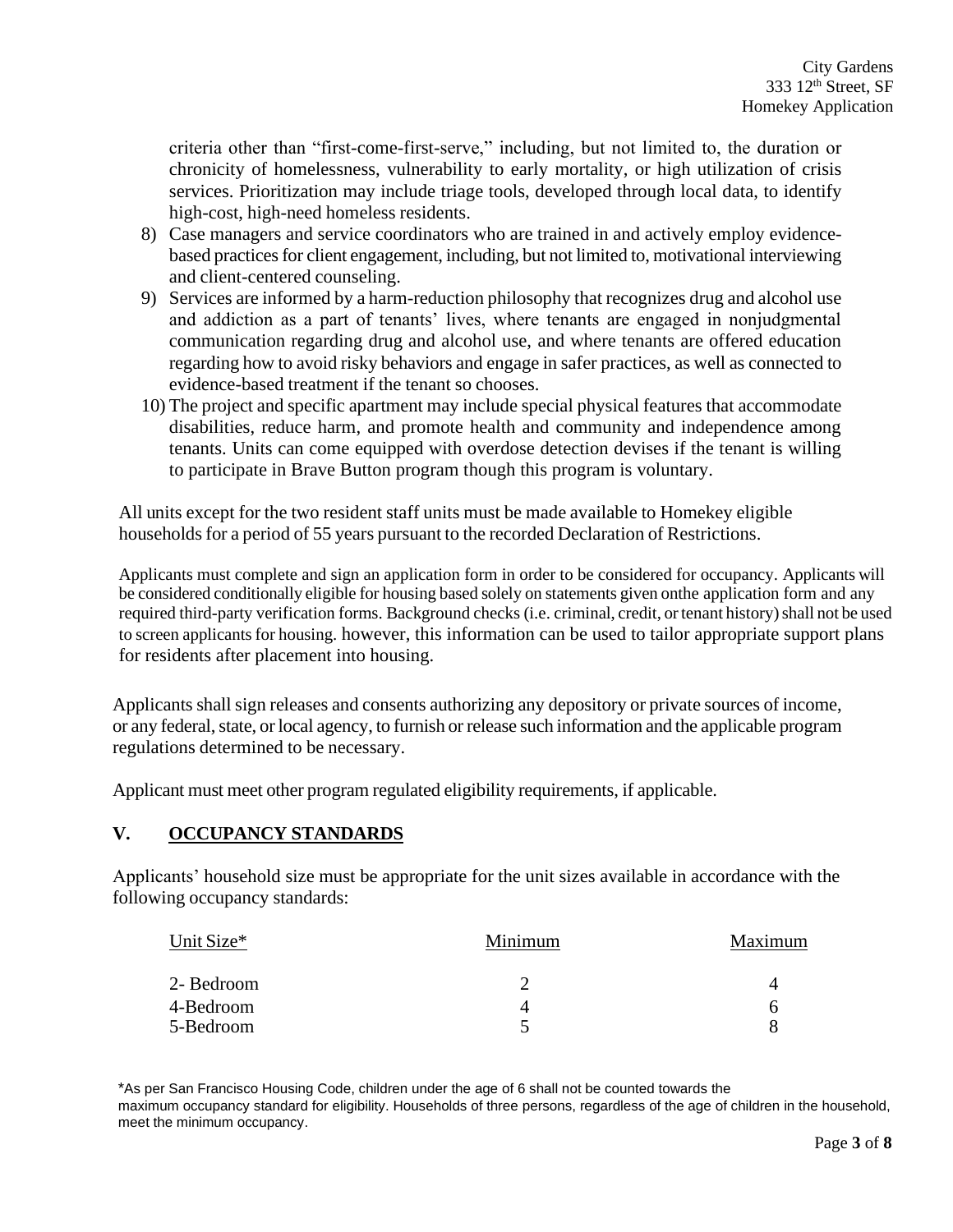criteria other than "first-come-first-serve," including, but not limited to, the duration or chronicity of homelessness, vulnerability to early mortality, or high utilization of crisis services. Prioritization may include triage tools, developed through local data, to identify high-cost, high-need homeless residents.

- 8) Case managers and service coordinators who are trained in and actively employ evidencebased practices for client engagement, including, but not limited to, motivational interviewing and client-centered counseling.
- 9) Services are informed by a harm-reduction philosophy that recognizes drug and alcohol use and addiction as a part of tenants' lives, where tenants are engaged in nonjudgmental communication regarding drug and alcohol use, and where tenants are offered education regarding how to avoid risky behaviors and engage in safer practices, as well as connected to evidence-based treatment if the tenant so chooses.
- 10) The project and specific apartment may include special physical features that accommodate disabilities, reduce harm, and promote health and community and independence among tenants. Units can come equipped with overdose detection devises if the tenant is willing to participate in Brave Button program though this program is voluntary.

All units except for the two resident staff units must be made available to Homekey eligible households for a period of 55 years pursuant to the recorded Declaration of Restrictions.

Applicants must complete and sign an application form in order to be considered for occupancy. Applicants will be considered conditionally eligible for housing based solely on statements given onthe application form and any required third-party verification forms. Background checks (i.e. criminal, credit, or tenant history) shall not be used to screen applicants for housing. however, this information can be used to tailor appropriate support plans for residents after placement into housing.

Applicants shall sign releases and consents authorizing any depository or private sources of income, or any federal, state, or local agency, to furnish or release such information and the applicable program regulations determined to be necessary.

Applicant must meet other program regulated eligibility requirements, if applicable.

## **V. OCCUPANCY STANDARDS**

Applicants' household size must be appropriate for the unit sizes available in accordance with the following occupancy standards:

| Unit Size* | Minimum | Maximum |
|------------|---------|---------|
| 2- Bedroom |         | 4       |
| 4-Bedroom  |         | n       |
| 5-Bedroom  |         |         |

\*As per San Francisco Housing Code, children under the age of 6 shall not be counted towards the maximum occupancy standard for eligibility. Households of three persons, regardless of the age of children in the household, meet the minimum occupancy.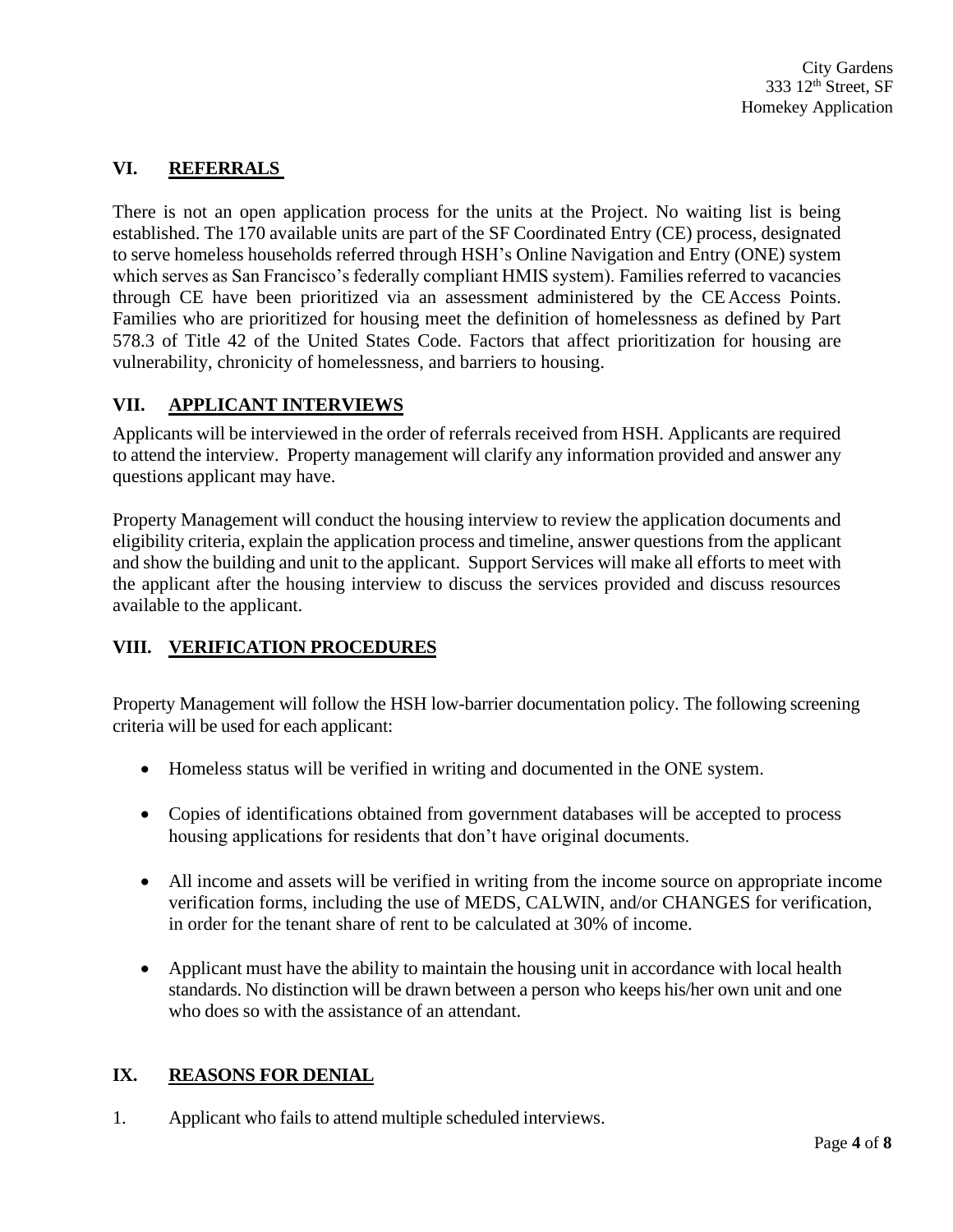## **VI. REFERRALS**

There is not an open application process for the units at the Project. No waiting list is being established. The 170 available units are part of the SF Coordinated Entry (CE) process, designated to serve homeless households referred through HSH's Online Navigation and Entry (ONE) system which serves as San Francisco's federally compliant HMIS system). Families referred to vacancies through CE have been prioritized via an assessment administered by the CEAccess Points. Families who are prioritized for housing meet the definition of homelessness as defined by Part 578.3 of Title 42 of the United States Code. Factors that affect prioritization for housing are vulnerability, chronicity of homelessness, and barriers to housing.

#### **VII. APPLICANT INTERVIEWS**

Applicants will be interviewed in the order of referrals received from HSH. Applicants are required to attend the interview. Property management will clarify any information provided and answer any questions applicant may have.

Property Management will conduct the housing interview to review the application documents and eligibility criteria, explain the application process and timeline, answer questions from the applicant and show the building and unit to the applicant. Support Services will make all efforts to meet with the applicant after the housing interview to discuss the services provided and discuss resources available to the applicant.

## **VIII. VERIFICATION PROCEDURES**

Property Management will follow the HSH low-barrier documentation policy. The following screening criteria will be used for each applicant:

- Homeless status will be verified in writing and documented in the ONE system.
- Copies of identifications obtained from government databases will be accepted to process housing applications for residents that don't have original documents.
- All income and assets will be verified in writing from the income source on appropriate income verification forms, including the use of MEDS, CALWIN, and/or CHANGES for verification, in order for the tenant share of rent to be calculated at 30% of income.
- Applicant must have the ability to maintain the housing unit in accordance with local health standards. No distinction will be drawn between a person who keeps his/her own unit and one who does so with the assistance of an attendant.

#### **IX. REASONS FOR DENIAL**

1. Applicant who fails to attend multiple scheduled interviews.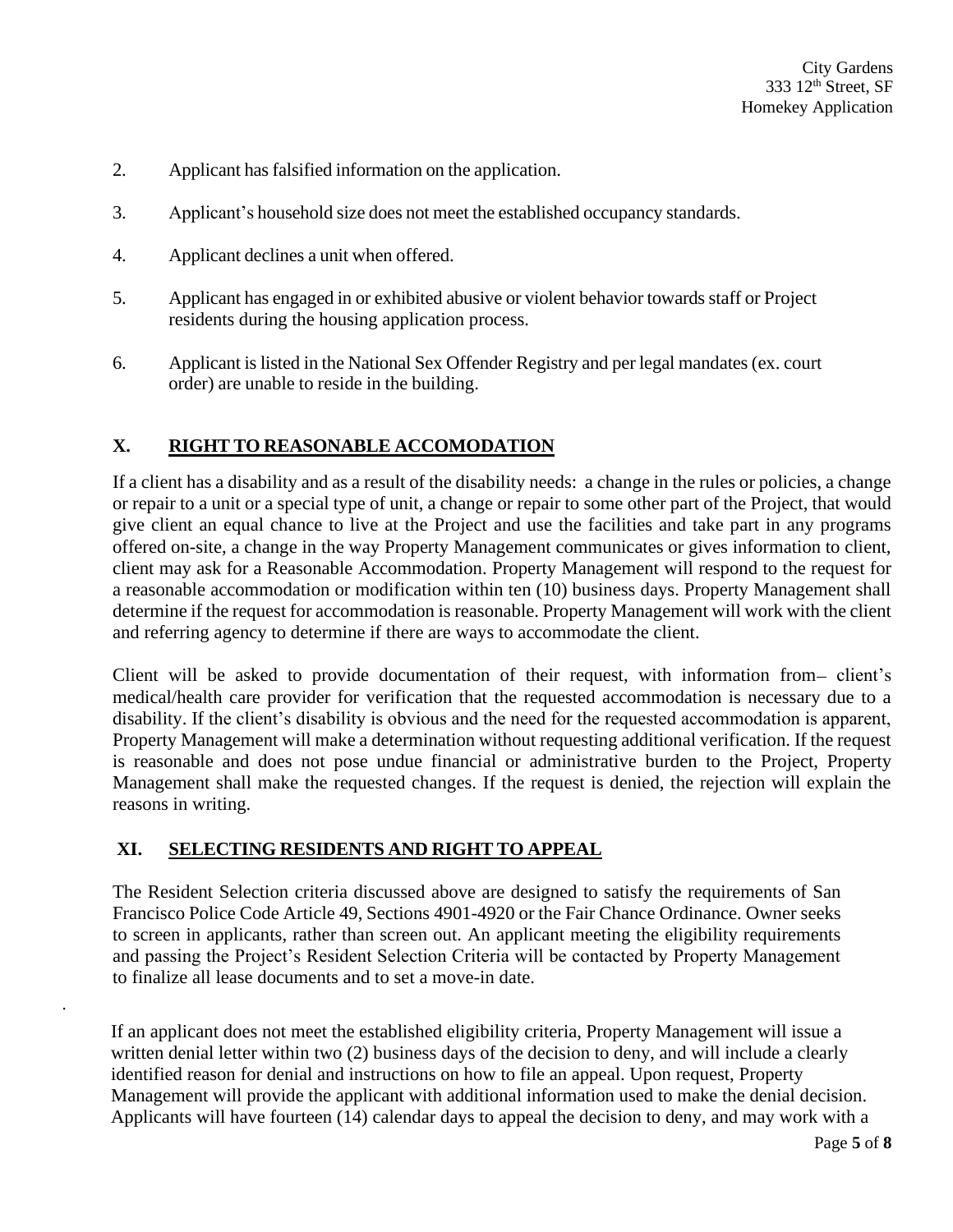- 2. Applicant hasfalsified information on the application.
- 3. Applicant's household size does not meet the established occupancy standards.
- 4. Applicant declines a unit when offered.
- 5. Applicant has engaged in or exhibited abusive or violent behavior towards staff or Project residents during the housing application process.
- 6. Applicant is listed in the National Sex Offender Registry and per legal mandates(ex. court order) are unable to reside in the building.

#### **X. RIGHT TO REASONABLE ACCOMODATION**

If a client has a disability and as a result of the disability needs: a change in the rules or policies, a change or repair to a unit or a special type of unit, a change or repair to some other part of the Project, that would give client an equal chance to live at the Project and use the facilities and take part in any programs offered on-site, a change in the way Property Management communicates or gives information to client, client may ask for a Reasonable Accommodation. Property Management will respond to the request for a reasonable accommodation or modification within ten (10) business days. Property Management shall determine if the request for accommodation is reasonable. Property Management will work with the client and referring agency to determine if there are ways to accommodate the client.

Client will be asked to provide documentation of their request, with information from-client's medical/health care provider for verification that the requested accommodation is necessary due to a disability. If the client's disability is obvious and the need for the requested accommodation is apparent, Property Management will make a determination without requesting additional verification. If the request is reasonable and does not pose undue financial or administrative burden to the Project, Property Management shall make the requested changes. If the request is denied, the rejection will explain the reasons in writing.

#### **XI. SELECTING RESIDENTS AND RIGHT TO APPEAL**

.

The Resident Selection criteria discussed above are designed to satisfy the requirements of San Francisco Police Code Article 49, Sections 4901-4920 or the Fair Chance Ordinance. Owner seeks to screen in applicants, rather than screen out. An applicant meeting the eligibility requirements and passing the Project's Resident Selection Criteria will be contacted by Property Management to finalize all lease documents and to set a move-in date.

If an applicant does not meet the established eligibility criteria, Property Management will issue a written denial letter within two (2) business days of the decision to deny, and will include a clearly identified reason for denial and instructions on how to file an appeal. Upon request, Property Management will provide the applicant with additional information used to make the denial decision. Applicants will have fourteen (14) calendar days to appeal the decision to deny, and may work with a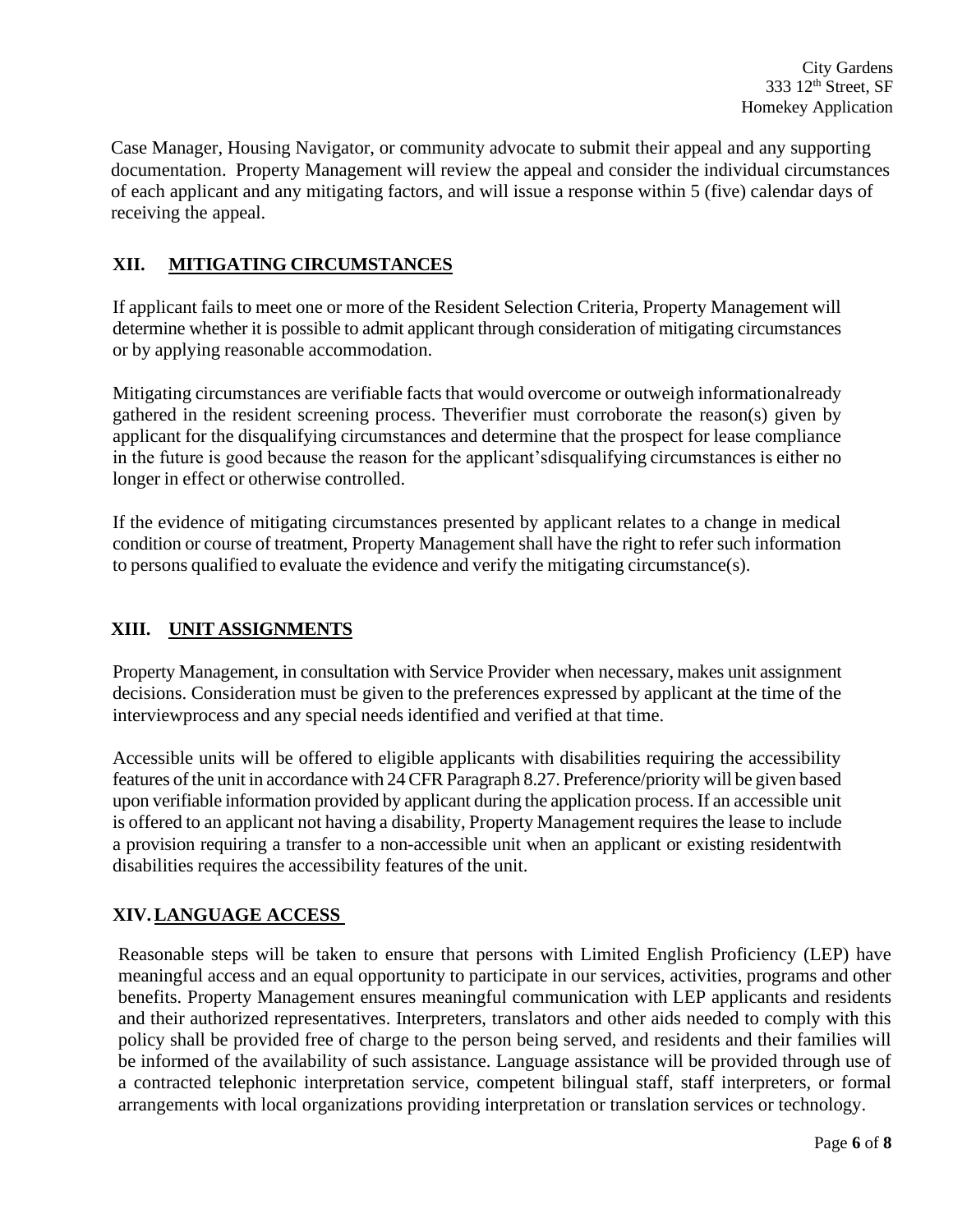Case Manager, Housing Navigator, or community advocate to submit their appeal and any supporting documentation. Property Management will review the appeal and consider the individual circumstances of each applicant and any mitigating factors, and will issue a response within 5 (five) calendar days of receiving the appeal.

## **XII. MITIGATING CIRCUMSTANCES**

If applicant fails to meet one or more of the Resident Selection Criteria, Property Management will determine whether it is possible to admit applicant through consideration of mitigating circumstances or by applying reasonable accommodation.

Mitigating circumstances are verifiable facts that would overcome or outweigh informationalready gathered in the resident screening process. Theverifier must corroborate the reason(s) given by applicant for the disqualifying circumstances and determine that the prospect for lease compliance in the future is good because the reason for the applicant'sdisqualifying circumstances is either no longer in effect or otherwise controlled.

If the evidence of mitigating circumstances presented by applicant relates to a change in medical condition or course of treatment, Property Management shall have the right to refer such information to persons qualified to evaluate the evidence and verify the mitigating circumstance(s).

# **XIII. UNIT ASSIGNMENTS**

Property Management, in consultation with Service Provider when necessary, makes unit assignment decisions. Consideration must be given to the preferences expressed by applicant at the time of the interviewprocess and any special needs identified and verified at that time.

Accessible units will be offered to eligible applicants with disabilities requiring the accessibility features of the unit in accordance with 24CFR Paragraph 8.27. Preference/priority will be given based upon verifiable information provided by applicant during the application process. If an accessible unit is offered to an applicant not having a disability, Property Management requires the lease to include a provision requiring a transfer to a non-accessible unit when an applicant or existing residentwith disabilities requires the accessibility features of the unit.

## **XIV.LANGUAGE ACCESS**

Reasonable steps will be taken to ensure that persons with Limited English Proficiency (LEP) have meaningful access and an equal opportunity to participate in our services, activities, programs and other benefits. Property Management ensures meaningful communication with LEP applicants and residents and their authorized representatives. Interpreters, translators and other aids needed to comply with this policy shall be provided free of charge to the person being served, and residents and their families will be informed of the availability of such assistance. Language assistance will be provided through use of a contracted telephonic interpretation service, competent bilingual staff, staff interpreters, or formal arrangements with local organizations providing interpretation or translation services or technology.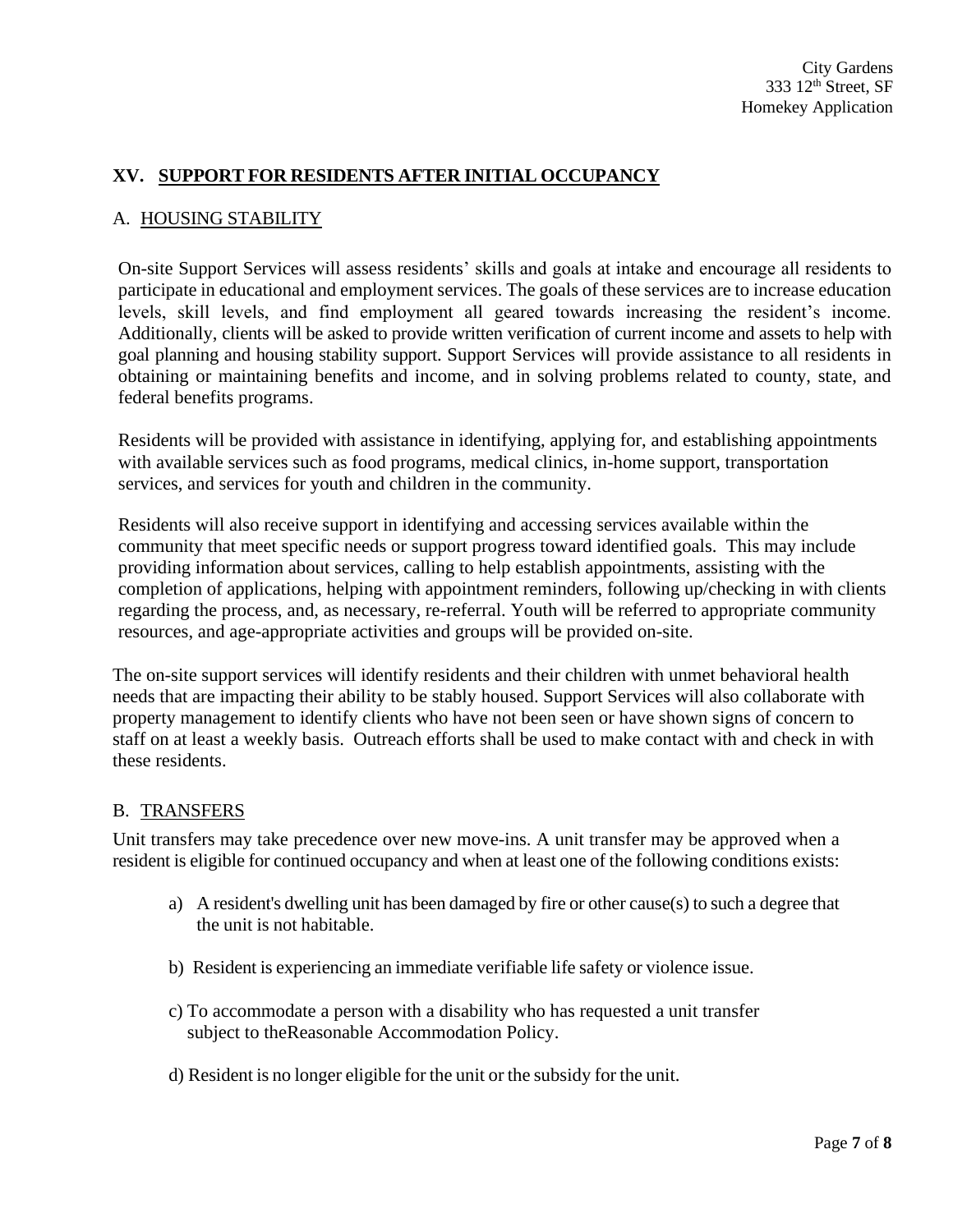### **XV. SUPPORT FOR RESIDENTS AFTER INITIAL OCCUPANCY**

#### A. HOUSING STABILITY

On-site Support Services will assess residents' skills and goals at intake and encourage all residents to participate in educational and employment services. The goals of these services are to increase education levels, skill levels, and find employment all geared towards increasing the resident's income. Additionally, clients will be asked to provide written verification of current income and assets to help with goal planning and housing stability support. Support Services will provide assistance to all residents in obtaining or maintaining benefits and income, and in solving problems related to county, state, and federal benefits programs.

Residents will be provided with assistance in identifying, applying for, and establishing appointments with available services such as food programs, medical clinics, in-home support, transportation services, and services for youth and children in the community.

Residents will also receive support in identifying and accessing services available within the community that meet specific needs or support progress toward identified goals. This may include providing information about services, calling to help establish appointments, assisting with the completion of applications, helping with appointment reminders, following up/checking in with clients regarding the process, and, as necessary, re-referral. Youth will be referred to appropriate community resources, and age-appropriate activities and groups will be provided on-site.

The on-site support services will identify residents and their children with unmet behavioral health needs that are impacting their ability to be stably housed. Support Services will also collaborate with property management to identify clients who have not been seen or have shown signs of concern to staff on at least a weekly basis. Outreach efforts shall be used to make contact with and check in with these residents.

#### B. TRANSFERS

Unit transfers may take precedence over new move-ins. A unit transfer may be approved when a resident is eligible for continued occupancy and when at least one of the following conditions exists:

- a) A resident's dwelling unit has been damaged by fire or other cause(s) to such a degree that the unit is not habitable.
- b) Resident is experiencing an immediate verifiable life safety or violence issue.
- c) To accommodate a person with a disability who has requested a unit transfer subject to theReasonable Accommodation Policy.
- d) Resident is no longer eligible for the unit or the subsidy for the unit.